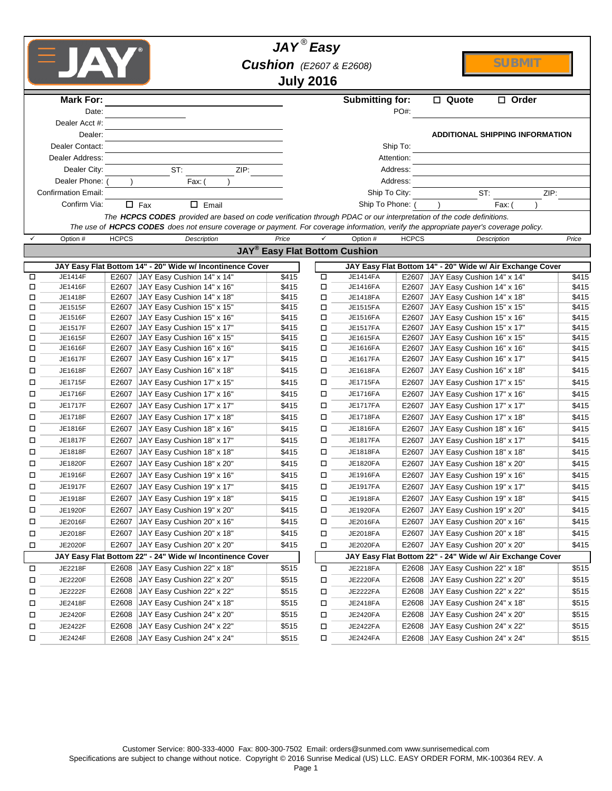|        | <b>FJAY</b>                |              |                                                                                                                                                                                                                                                              | $JAY^{\circledR}$ Easy<br><b>Cushion</b> (E2607 & E2608) | <b>July 2016</b> |                        |              |                                                                                               | <b>SUBMIT</b> |       |
|--------|----------------------------|--------------|--------------------------------------------------------------------------------------------------------------------------------------------------------------------------------------------------------------------------------------------------------------|----------------------------------------------------------|------------------|------------------------|--------------|-----------------------------------------------------------------------------------------------|---------------|-------|
|        | <b>Mark For:</b>           |              |                                                                                                                                                                                                                                                              |                                                          |                  | <b>Submitting for:</b> |              | □ Quote                                                                                       | $\Box$ Order  |       |
|        | Date:                      |              |                                                                                                                                                                                                                                                              |                                                          |                  |                        | PO#:         |                                                                                               |               |       |
|        | Dealer Acct #:<br>Dealer:  |              |                                                                                                                                                                                                                                                              |                                                          |                  |                        |              | <b>ADDITIONAL SHIPPING INFORMATION</b>                                                        |               |       |
|        | Dealer Contact:            |              |                                                                                                                                                                                                                                                              |                                                          |                  |                        | Ship To:     |                                                                                               |               |       |
|        | Dealer Address:            |              |                                                                                                                                                                                                                                                              |                                                          |                  |                        | Attention:   |                                                                                               |               |       |
|        | Dealer City:               |              | ST:<br>ZIP:                                                                                                                                                                                                                                                  |                                                          |                  |                        | Address:     |                                                                                               |               |       |
|        | Dealer Phone: (<br>Fax: (  |              |                                                                                                                                                                                                                                                              | Address:                                                 |                  |                        |              |                                                                                               |               |       |
|        | <b>Confirmation Email:</b> |              |                                                                                                                                                                                                                                                              | Ship To City:<br>Ship To Phone: (                        |                  |                        | ST:          |                                                                                               | ZIP:          |       |
|        | Confirm Via:               |              | $\Box$ Fax<br>$\Box$ Email                                                                                                                                                                                                                                   |                                                          |                  |                        |              |                                                                                               | Fax:          |       |
|        |                            |              | The HCPCS CODES provided are based on code verification through PDAC or our interpretation of the code definitions.<br>The use of HCPCS CODES does not ensure coverage or payment. For coverage information, verify the appropriate payer's coverage policy. |                                                          |                  |                        |              |                                                                                               |               |       |
|        | Option #                   | <b>HCPCS</b> | Description                                                                                                                                                                                                                                                  | Price                                                    |                  | Option #               | <b>HCPCS</b> |                                                                                               | Description   | Price |
|        |                            |              |                                                                                                                                                                                                                                                              | <b>JAY<sup>®</sup> Easy Flat Bottom Cushion</b>          |                  |                        |              |                                                                                               |               |       |
|        |                            |              |                                                                                                                                                                                                                                                              |                                                          |                  |                        |              |                                                                                               |               |       |
|        |                            |              | JAY Easy Flat Bottom 14" - 20" Wide w/ Incontinence Cover<br>JAY Easy Cushion 14" x 14"                                                                                                                                                                      | \$415                                                    |                  | <b>JE1414FA</b>        |              | JAY Easy Flat Bottom 14" - 20" Wide w/ Air Exchange Cover<br>E2607 JAY Easy Cushion 14" x 14" |               | \$415 |
| 口<br>П | JE1414F<br>JE1416F         | E2607        | E2607 JAY Easy Cushion 14" x 16"                                                                                                                                                                                                                             | \$415                                                    | □<br>□           | JE1416FA               |              | E2607 JAY Easy Cushion 14" x 16"                                                              |               | \$415 |
| □      | JE1418F                    | E2607        | JAY Easy Cushion 14" x 18"                                                                                                                                                                                                                                   | \$415                                                    | □                | JE1418FA               |              | E2607 JAY Easy Cushion 14" x 18"                                                              |               | \$415 |
| □      | JE1515F                    | E2607        | JAY Easy Cushion 15" x 15"                                                                                                                                                                                                                                   | \$415                                                    | □                | JE1515FA               | E2607        | JAY Easy Cushion 15" x 15"                                                                    |               | \$415 |
| □      | JE1516F                    | E2607        | JAY Easy Cushion 15" x 16"                                                                                                                                                                                                                                   | \$415                                                    | □                | JE1516FA               |              | E2607 JAY Easy Cushion 15" x 16"                                                              |               | \$415 |
| □      | JE1517F                    | E2607        | JAY Easy Cushion 15" x 17"                                                                                                                                                                                                                                   | \$415                                                    | □                | <b>JE1517FA</b>        |              | E2607 JAY Easy Cushion 15" x 17"                                                              |               | \$415 |
| □      | JE1615F                    | E2607        | JAY Easy Cushion 16" x 15"                                                                                                                                                                                                                                   | \$415                                                    | □                | JE1615FA               | E2607        | JAY Easy Cushion 16" x 15"                                                                    |               | \$415 |
| □      | JE1616F                    | E2607        | JAY Easy Cushion 16" x 16"                                                                                                                                                                                                                                   | \$415                                                    | □                | JE1616FA               |              | E2607 JAY Easy Cushion 16" x 16"                                                              |               | \$415 |
| □      | JE1617F                    | E2607        | JAY Easy Cushion 16" x 17"                                                                                                                                                                                                                                   | \$415                                                    | □                | <b>JE1617FA</b>        | E2607        | JAY Easy Cushion 16" x 17"                                                                    |               | \$415 |
| □      | JE1618F                    | E2607        | JAY Easy Cushion 16" x 18"                                                                                                                                                                                                                                   | \$415                                                    | □                | JE1618FA               | E2607        | JAY Easy Cushion 16" x 18"                                                                    |               | \$415 |
| □      | JE1715F                    | E2607        | JAY Easy Cushion 17" x 15"                                                                                                                                                                                                                                   | \$415                                                    | □                | JE1715FA               | E2607        | JAY Easy Cushion 17" x 15"                                                                    |               | \$415 |
| □      | JE1716F                    | E2607        | JAY Easy Cushion 17" x 16"                                                                                                                                                                                                                                   | \$415                                                    | □                | JE1716FA               | E2607        | JAY Easy Cushion 17" x 16"                                                                    |               | \$415 |
| □      | <b>JE1717F</b>             | E2607        | JAY Easy Cushion 17" x 17"                                                                                                                                                                                                                                   | \$415                                                    | □                | <b>JE1717FA</b>        | E2607        | JAY Easy Cushion 17" x 17"                                                                    |               | \$415 |
| □      | JE1718F                    | E2607        | JAY Easy Cushion 17" x 18"                                                                                                                                                                                                                                   | \$415                                                    | □                | <b>JE1718FA</b>        | E2607        | JAY Easy Cushion 17" x 18"                                                                    |               | \$415 |
| □      | JE1816F                    | E2607        | JAY Easy Cushion 18" x 16"                                                                                                                                                                                                                                   | \$415                                                    | □                | JE1816FA               | E2607        | JAY Easy Cushion 18" x 16"                                                                    |               | \$415 |
| □      | JE1817F                    | E2607        | JAY Easy Cushion 18" x 17"                                                                                                                                                                                                                                   | \$415                                                    | □                | <b>JE1817FA</b>        | E2607        | JAY Easy Cushion 18" x 17"                                                                    |               | \$415 |
| о      | JE1818F                    | E2607        | JAY Easy Cushion 18" x 18"                                                                                                                                                                                                                                   | \$415                                                    | □                | <b>JE1818FA</b>        | E2607        | JAY Easy Cushion 18" x 18"                                                                    |               | \$415 |
| о      | <b>JE1820F</b>             | E2607        | JAY Easy Cushion 18" x 20"                                                                                                                                                                                                                                   | \$415                                                    | □                | JE1820FA               | E2607        | JAY Easy Cushion 18" x 20"                                                                    |               | \$415 |
| □      | JE1916F                    |              | E2607 JAY Easy Cushion 19" x 16"                                                                                                                                                                                                                             | \$415                                                    | □                | <b>JE1916FA</b>        |              | E2607 JAY Easy Cushion 19" x 16"                                                              |               | \$415 |
| □      | JE1917F                    |              | E2607 JAY Easy Cushion 19" x 17"                                                                                                                                                                                                                             | \$415                                                    | □                | <b>JE1917FA</b>        |              | E2607 JAY Easy Cushion 19" x 17"                                                              |               | \$415 |
| Д      | JE1918F                    | E2607        | JAY Easy Cushion 19" x 18"                                                                                                                                                                                                                                   | \$415                                                    | □                | JE1918FA               | E2607        | JAY Easy Cushion 19" x 18"                                                                    |               | \$415 |
| □      | JE1920F                    | E2607        | JAY Easy Cushion 19" x 20"                                                                                                                                                                                                                                   | \$415                                                    | □                | JE1920FA               | E2607        | JAY Easy Cushion 19" x 20"                                                                    |               | \$415 |
| □      | JE2016F                    | E2607        | JAY Easy Cushion 20" x 16"                                                                                                                                                                                                                                   | \$415                                                    | □                | JE2016FA               | E2607        | JAY Easy Cushion 20" x 16"                                                                    |               | \$415 |
| 口      | JE2018F                    | E2607        | JAY Easy Cushion 20" x 18"                                                                                                                                                                                                                                   | \$415                                                    | □                | JE2018FA               | E2607        | JAY Easy Cushion 20" x 18"                                                                    |               | \$415 |
| □      | JE2020F                    | E2607        | JAY Easy Cushion 20" x 20"                                                                                                                                                                                                                                   | \$415                                                    | □                | JE2020FA               | E2607        | JAY Easy Cushion 20" x 20"                                                                    |               | \$415 |
|        |                            |              | JAY Easy Flat Bottom 22" - 24" Wide w/ Incontinence Cover                                                                                                                                                                                                    |                                                          |                  |                        |              | JAY Easy Flat Bottom 22" - 24" Wide w/ Air Exchange Cover                                     |               |       |
| $\Box$ | JE2218F                    |              | E2608 JAY Easy Cushion 22" x 18"                                                                                                                                                                                                                             | \$515                                                    | П                | JE2218FA               | E2608        | JAY Easy Cushion 22" x 18"                                                                    |               | \$515 |
| □      | JE2220F                    | E2608        | JAY Easy Cushion 22" x 20"                                                                                                                                                                                                                                   | \$515                                                    | □                | <b>JE2220FA</b>        | E2608        | JAY Easy Cushion 22" x 20"                                                                    |               | \$515 |
| □      | JE2222F                    | E2608        | JAY Easy Cushion 22" x 22"                                                                                                                                                                                                                                   | \$515                                                    | П                | <b>JE2222FA</b>        | E2608        | JAY Easy Cushion 22" x 22"                                                                    |               | \$515 |
| $\Box$ | JE2418F                    | E2608        | JAY Easy Cushion 24" x 18"                                                                                                                                                                                                                                   | \$515                                                    | П                | JE2418FA               | E2608        | JAY Easy Cushion 24" x 18"                                                                    |               | \$515 |
| □      | JE2420F                    |              |                                                                                                                                                                                                                                                              | \$515                                                    |                  |                        |              | JAY Easy Cushion 24" x 20"                                                                    |               |       |
|        |                            | E2608        | JAY Easy Cushion 24" x 20"                                                                                                                                                                                                                                   |                                                          | □                | JE2420FA               | E2608        |                                                                                               |               | \$515 |
| П      | JE2422F                    | E2608        | JAY Easy Cushion 24" x 22"                                                                                                                                                                                                                                   | \$515                                                    | □                | <b>JE2422FA</b>        | E2608        | JAY Easy Cushion 24" x 22"                                                                    |               | \$515 |
| о      | JE2424F                    | E2608        | JAY Easy Cushion 24" x 24"                                                                                                                                                                                                                                   | \$515                                                    | □                | JE2424FA               | E2608        | JAY Easy Cushion 24" x 24"                                                                    |               | \$515 |